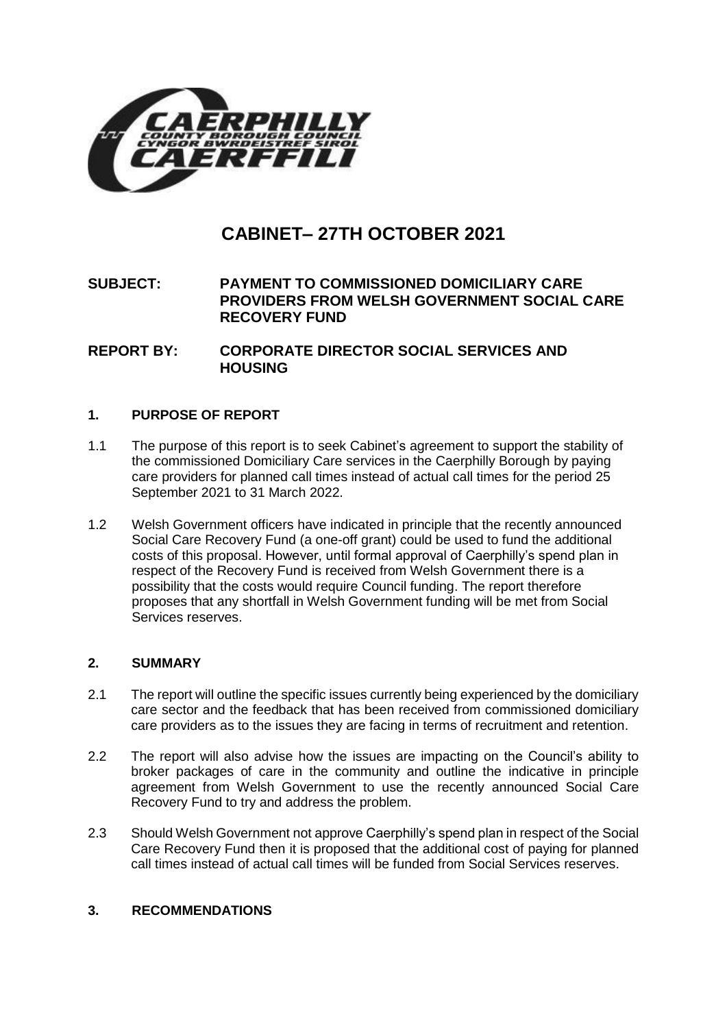

# **CABINET– 27TH OCTOBER 2021**

# **SUBJECT: PAYMENT TO COMMISSIONED DOMICILIARY CARE PROVIDERS FROM WELSH GOVERNMENT SOCIAL CARE RECOVERY FUND**

**REPORT BY: CORPORATE DIRECTOR SOCIAL SERVICES AND HOUSING** 

#### **1. PURPOSE OF REPORT**

- 1.1 The purpose of this report is to seek Cabinet's agreement to support the stability of the commissioned Domiciliary Care services in the Caerphilly Borough by paying care providers for planned call times instead of actual call times for the period 25 September 2021 to 31 March 2022.
- 1.2 Welsh Government officers have indicated in principle that the recently announced Social Care Recovery Fund (a one-off grant) could be used to fund the additional costs of this proposal. However, until formal approval of Caerphilly's spend plan in respect of the Recovery Fund is received from Welsh Government there is a possibility that the costs would require Council funding. The report therefore proposes that any shortfall in Welsh Government funding will be met from Social Services reserves.

# **2. SUMMARY**

- 2.1 The report will outline the specific issues currently being experienced by the domiciliary care sector and the feedback that has been received from commissioned domiciliary care providers as to the issues they are facing in terms of recruitment and retention.
- 2.2 The report will also advise how the issues are impacting on the Council's ability to broker packages of care in the community and outline the indicative in principle agreement from Welsh Government to use the recently announced Social Care Recovery Fund to try and address the problem.
- 2.3 Should Welsh Government not approve Caerphilly's spend plan in respect of the Social Care Recovery Fund then it is proposed that the additional cost of paying for planned call times instead of actual call times will be funded from Social Services reserves.

## **3. RECOMMENDATIONS**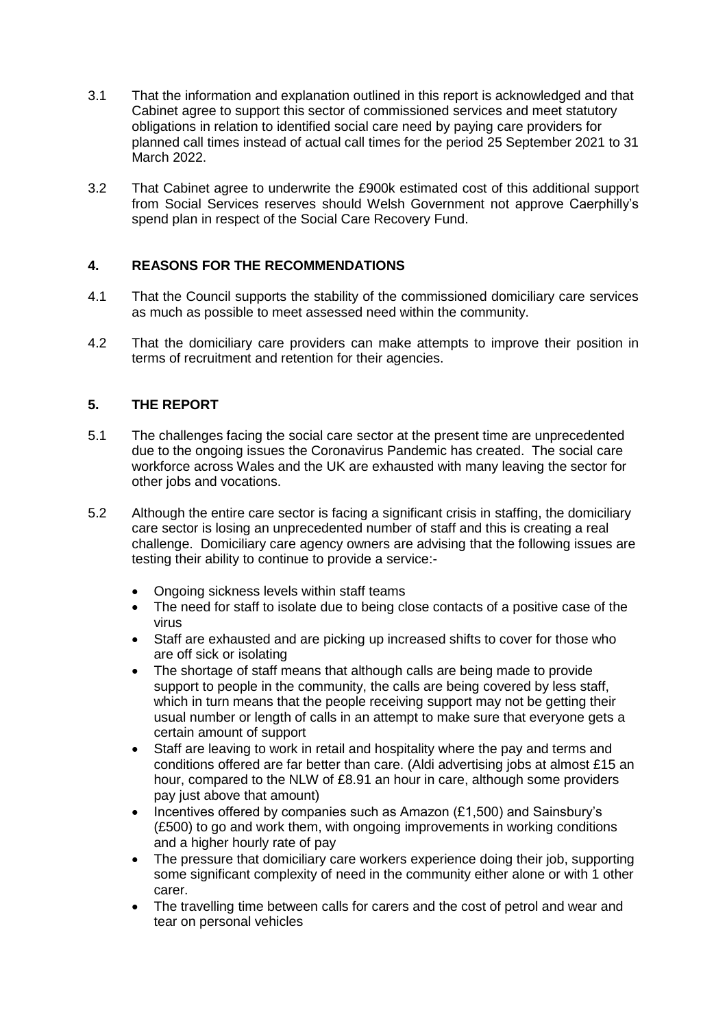- 3.1 That the information and explanation outlined in this report is acknowledged and that Cabinet agree to support this sector of commissioned services and meet statutory obligations in relation to identified social care need by paying care providers for planned call times instead of actual call times for the period 25 September 2021 to 31 March 2022.
- 3.2 That Cabinet agree to underwrite the £900k estimated cost of this additional support from Social Services reserves should Welsh Government not approve Caerphilly's spend plan in respect of the Social Care Recovery Fund.

# **4. REASONS FOR THE RECOMMENDATIONS**

- 4.1 That the Council supports the stability of the commissioned domiciliary care services as much as possible to meet assessed need within the community.
- 4.2 That the domiciliary care providers can make attempts to improve their position in terms of recruitment and retention for their agencies.

## **5. THE REPORT**

- 5.1 The challenges facing the social care sector at the present time are unprecedented due to the ongoing issues the Coronavirus Pandemic has created. The social care workforce across Wales and the UK are exhausted with many leaving the sector for other jobs and vocations.
- 5.2 Although the entire care sector is facing a significant crisis in staffing, the domiciliary care sector is losing an unprecedented number of staff and this is creating a real challenge. Domiciliary care agency owners are advising that the following issues are testing their ability to continue to provide a service:-
	- Ongoing sickness levels within staff teams
	- The need for staff to isolate due to being close contacts of a positive case of the virus
	- Staff are exhausted and are picking up increased shifts to cover for those who are off sick or isolating
	- The shortage of staff means that although calls are being made to provide support to people in the community, the calls are being covered by less staff, which in turn means that the people receiving support may not be getting their usual number or length of calls in an attempt to make sure that everyone gets a certain amount of support
	- Staff are leaving to work in retail and hospitality where the pay and terms and conditions offered are far better than care. (Aldi advertising jobs at almost £15 an hour, compared to the NLW of £8.91 an hour in care, although some providers pay just above that amount)
	- Incentives offered by companies such as Amazon (£1,500) and Sainsbury's (£500) to go and work them, with ongoing improvements in working conditions and a higher hourly rate of pay
	- The pressure that domiciliary care workers experience doing their job, supporting some significant complexity of need in the community either alone or with 1 other carer.
	- The travelling time between calls for carers and the cost of petrol and wear and tear on personal vehicles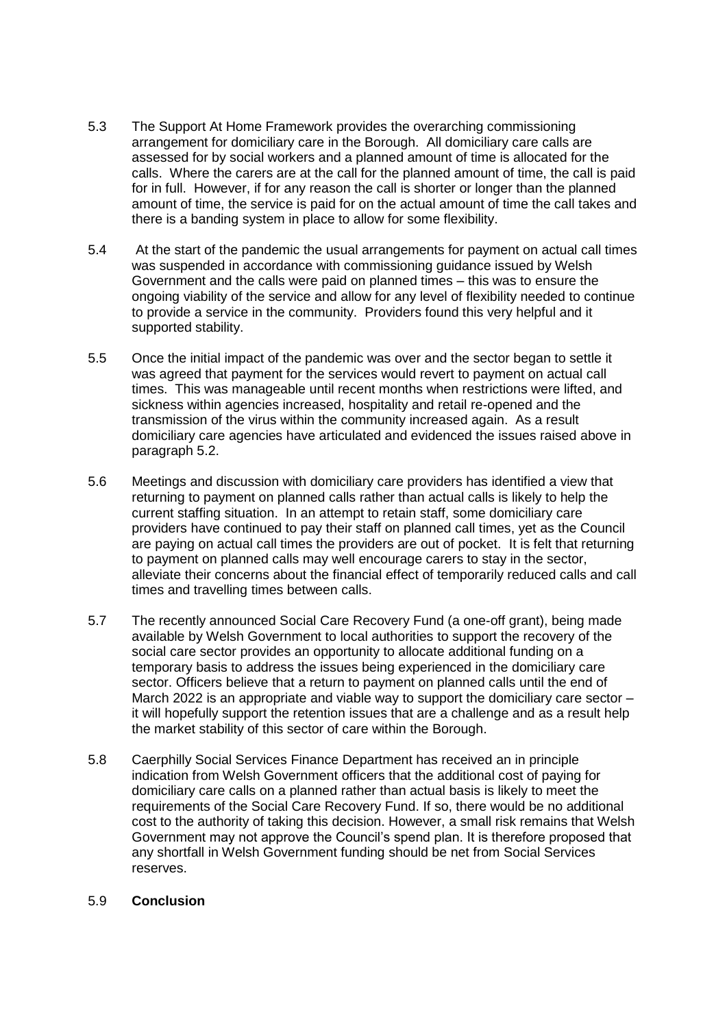- 5.3 The Support At Home Framework provides the overarching commissioning arrangement for domiciliary care in the Borough. All domiciliary care calls are assessed for by social workers and a planned amount of time is allocated for the calls. Where the carers are at the call for the planned amount of time, the call is paid for in full. However, if for any reason the call is shorter or longer than the planned amount of time, the service is paid for on the actual amount of time the call takes and there is a banding system in place to allow for some flexibility.
- 5.4 At the start of the pandemic the usual arrangements for payment on actual call times was suspended in accordance with commissioning guidance issued by Welsh Government and the calls were paid on planned times – this was to ensure the ongoing viability of the service and allow for any level of flexibility needed to continue to provide a service in the community. Providers found this very helpful and it supported stability.
- 5.5 Once the initial impact of the pandemic was over and the sector began to settle it was agreed that payment for the services would revert to payment on actual call times. This was manageable until recent months when restrictions were lifted, and sickness within agencies increased, hospitality and retail re-opened and the transmission of the virus within the community increased again. As a result domiciliary care agencies have articulated and evidenced the issues raised above in paragraph 5.2.
- 5.6 Meetings and discussion with domiciliary care providers has identified a view that returning to payment on planned calls rather than actual calls is likely to help the current staffing situation. In an attempt to retain staff, some domiciliary care providers have continued to pay their staff on planned call times, yet as the Council are paying on actual call times the providers are out of pocket. It is felt that returning to payment on planned calls may well encourage carers to stay in the sector, alleviate their concerns about the financial effect of temporarily reduced calls and call times and travelling times between calls.
- 5.7 The recently announced Social Care Recovery Fund (a one-off grant), being made available by Welsh Government to local authorities to support the recovery of the social care sector provides an opportunity to allocate additional funding on a temporary basis to address the issues being experienced in the domiciliary care sector. Officers believe that a return to payment on planned calls until the end of March 2022 is an appropriate and viable way to support the domiciliary care sector – it will hopefully support the retention issues that are a challenge and as a result help the market stability of this sector of care within the Borough.
- 5.8 Caerphilly Social Services Finance Department has received an in principle indication from Welsh Government officers that the additional cost of paying for domiciliary care calls on a planned rather than actual basis is likely to meet the requirements of the Social Care Recovery Fund. If so, there would be no additional cost to the authority of taking this decision. However, a small risk remains that Welsh Government may not approve the Council's spend plan. It is therefore proposed that any shortfall in Welsh Government funding should be net from Social Services reserves.

#### 5.9 **Conclusion**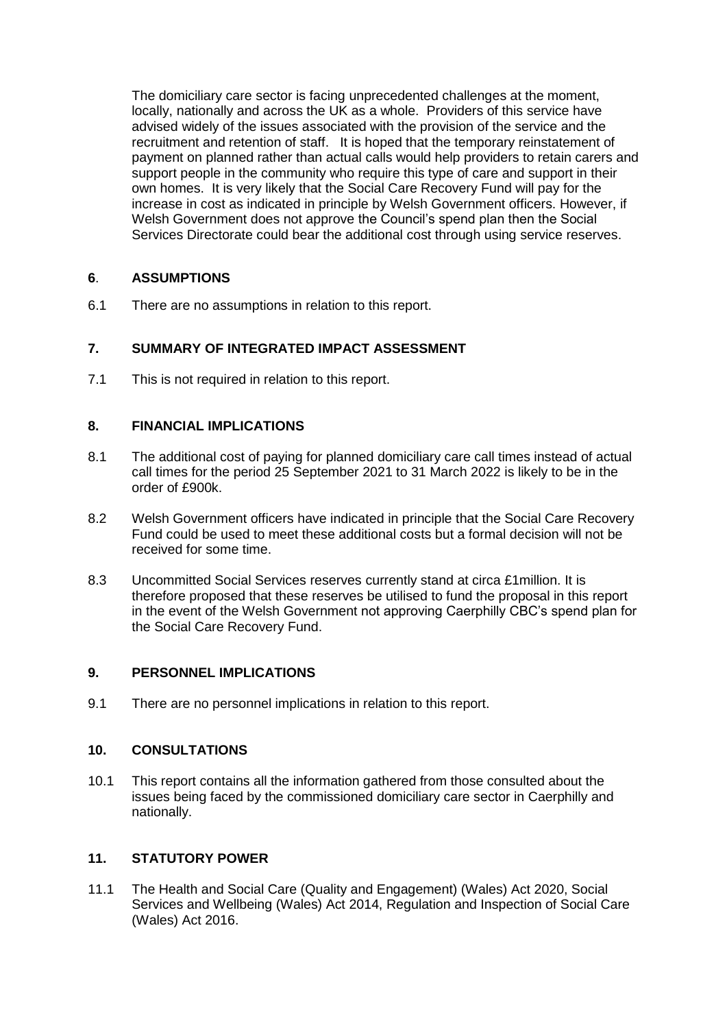The domiciliary care sector is facing unprecedented challenges at the moment, locally, nationally and across the UK as a whole. Providers of this service have advised widely of the issues associated with the provision of the service and the recruitment and retention of staff. It is hoped that the temporary reinstatement of payment on planned rather than actual calls would help providers to retain carers and support people in the community who require this type of care and support in their own homes. It is very likely that the Social Care Recovery Fund will pay for the increase in cost as indicated in principle by Welsh Government officers. However, if Welsh Government does not approve the Council's spend plan then the Social Services Directorate could bear the additional cost through using service reserves.

## **6**. **ASSUMPTIONS**

6.1 There are no assumptions in relation to this report.

# **7. SUMMARY OF INTEGRATED IMPACT ASSESSMENT**

7.1 This is not required in relation to this report.

## **8. FINANCIAL IMPLICATIONS**

- 8.1 The additional cost of paying for planned domiciliary care call times instead of actual call times for the period 25 September 2021 to 31 March 2022 is likely to be in the order of £900k.
- 8.2 Welsh Government officers have indicated in principle that the Social Care Recovery Fund could be used to meet these additional costs but a formal decision will not be received for some time.
- 8.3 Uncommitted Social Services reserves currently stand at circa £1million. It is therefore proposed that these reserves be utilised to fund the proposal in this report in the event of the Welsh Government not approving Caerphilly CBC's spend plan for the Social Care Recovery Fund.

#### **9. PERSONNEL IMPLICATIONS**

9.1 There are no personnel implications in relation to this report.

#### **10. CONSULTATIONS**

10.1 This report contains all the information gathered from those consulted about the issues being faced by the commissioned domiciliary care sector in Caerphilly and nationally.

# **11. STATUTORY POWER**

11.1 The Health and Social Care (Quality and Engagement) (Wales) Act 2020, Social Services and Wellbeing (Wales) Act 2014, Regulation and Inspection of Social Care (Wales) Act 2016.